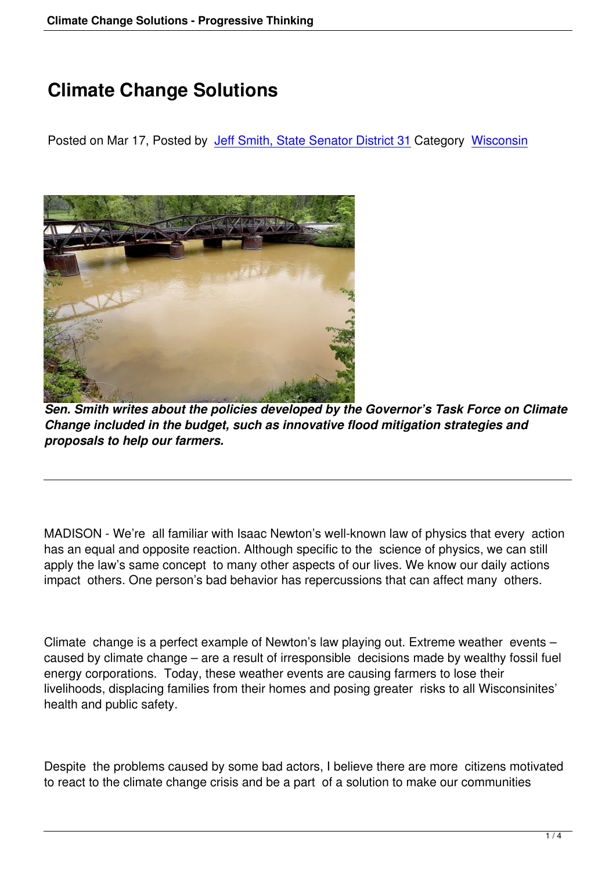## **Climate Change Solutions**

Posted on Mar 17, Posted by Jeff Smith, State Senator District 31 Category Wisconsin



*Sen. Smith writes about the policies developed by the Governor's Task Force on Climate Change included in the budget, such as innovative flood mitigation strategies and proposals to help our farmers.*

MADISON - We're all familiar with Isaac Newton's well-known law of physics that every action has an equal and opposite reaction. Although specific to the science of physics, we can still apply the law's same concept to many other aspects of our lives. We know our daily actions impact others. One person's bad behavior has repercussions that can affect many others.

Climate change is a perfect example of Newton's law playing out. Extreme weather events – caused by climate change – are a result of irresponsible decisions made by wealthy fossil fuel energy corporations. Today, these weather events are causing farmers to lose their livelihoods, displacing families from their homes and posing greater risks to all Wisconsinites' health and public safety.

Despite the problems caused by some bad actors, I believe there are more citizens motivated to react to the climate change crisis and be a part of a solution to make our communities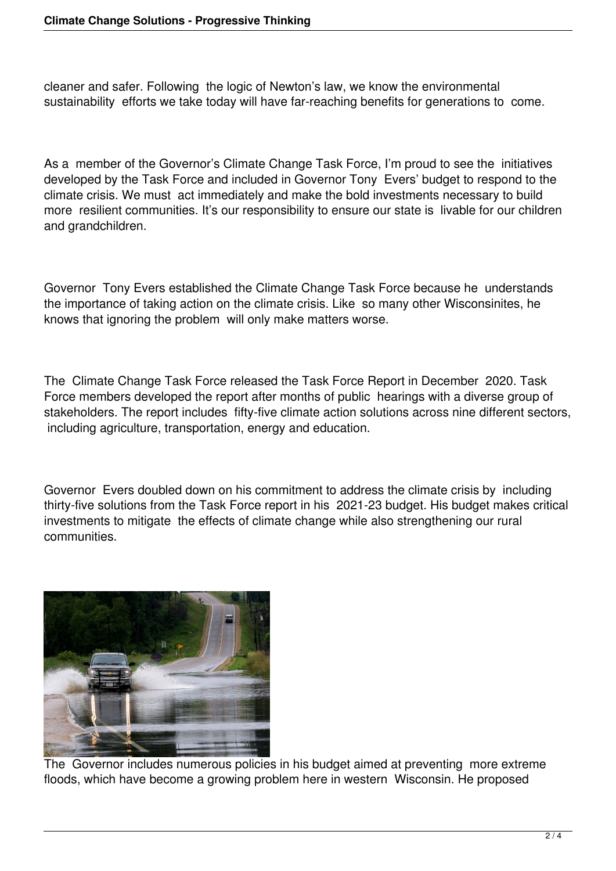cleaner and safer. Following the logic of Newton's law, we know the environmental sustainability efforts we take today will have far-reaching benefits for generations to come.

As a member of the Governor's Climate Change Task Force, I'm proud to see the initiatives developed by the Task Force and included in Governor Tony Evers' budget to respond to the climate crisis. We must act immediately and make the bold investments necessary to build more resilient communities. It's our responsibility to ensure our state is livable for our children and grandchildren.

Governor Tony Evers established the Climate Change Task Force because he understands the importance of taking action on the climate crisis. Like so many other Wisconsinites, he knows that ignoring the problem will only make matters worse.

The Climate Change Task Force released the Task Force Report in December 2020. Task Force members developed the report after months of public hearings with a diverse group of stakeholders. The report includes fifty-five climate action solutions across nine different sectors, including agriculture, transportation, energy and education.

Governor Evers doubled down on his commitment to address the climate crisis by including thirty-five solutions from the Task Force report in his 2021-23 budget. His budget makes critical investments to mitigate the effects of climate change while also strengthening our rural communities.



The Governor includes numerous policies in his budget aimed at preventing more extreme floods, which have become a growing problem here in western Wisconsin. He proposed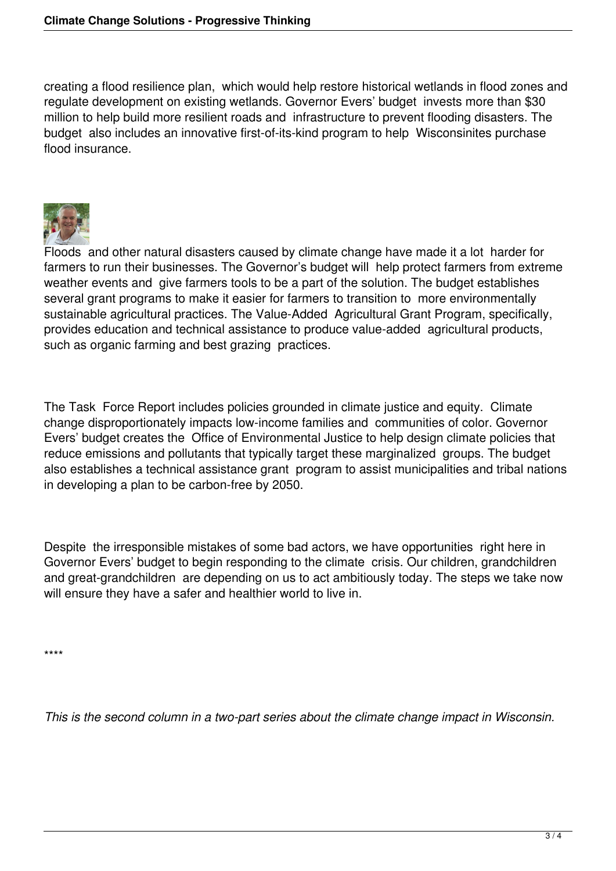creating a flood resilience plan, which would help restore historical wetlands in flood zones and regulate development on existing wetlands. Governor Evers' budget invests more than \$30 million to help build more resilient roads and infrastructure to prevent flooding disasters. The budget also includes an innovative first-of-its-kind program to help Wisconsinites purchase flood insurance.



Floods and other natural disasters caused by climate change have made it a lot harder for farmers to run their businesses. The Governor's budget will help protect farmers from extreme weather events and give farmers tools to be a part of the solution. The budget establishes several grant programs to make it easier for farmers to transition to more environmentally sustainable agricultural practices. The Value-Added Agricultural Grant Program, specifically, provides education and technical assistance to produce value-added agricultural products, such as organic farming and best grazing practices.

The Task Force Report includes policies grounded in climate justice and equity. Climate change disproportionately impacts low-income families and communities of color. Governor Evers' budget creates the Office of Environmental Justice to help design climate policies that reduce emissions and pollutants that typically target these marginalized groups. The budget also establishes a technical assistance grant program to assist municipalities and tribal nations in developing a plan to be carbon-free by 2050.

Despite the irresponsible mistakes of some bad actors, we have opportunities right here in Governor Evers' budget to begin responding to the climate crisis. Our children, grandchildren and great-grandchildren are depending on us to act ambitiously today. The steps we take now will ensure they have a safer and healthier world to live in.

\*\*\*\*

*This is the second column in a two-part series about the climate change impact in Wisconsin.*